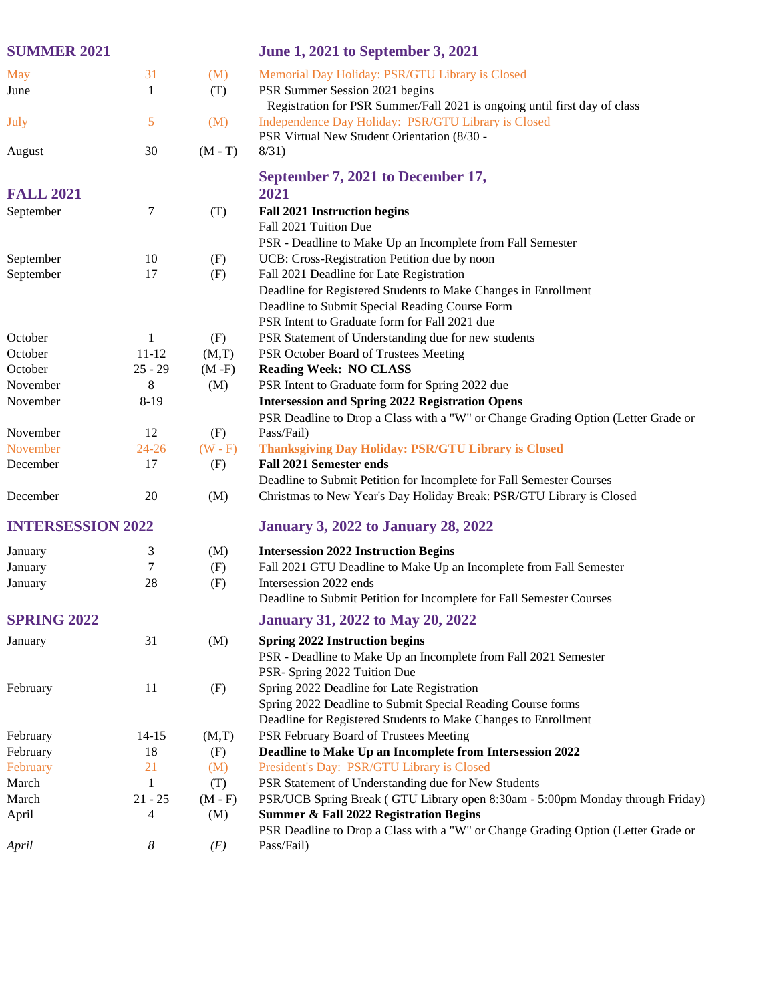| <b>SUMMER 2021</b>       |           |           | <b>June 1, 2021 to September 3, 2021</b>                                          |
|--------------------------|-----------|-----------|-----------------------------------------------------------------------------------|
| <b>May</b>               | 31        | (M)       | Memorial Day Holiday: PSR/GTU Library is Closed                                   |
| June                     | 1         | (T)       | PSR Summer Session 2021 begins                                                    |
|                          |           |           | Registration for PSR Summer/Fall 2021 is ongoing until first day of class         |
| July                     | 5         | (M)       | Independence Day Holiday: PSR/GTU Library is Closed                               |
|                          |           |           | PSR Virtual New Student Orientation (8/30 -                                       |
| August                   | 30        | $(M-T)$   | 8/31)                                                                             |
|                          |           |           |                                                                                   |
|                          |           |           | September 7, 2021 to December 17,                                                 |
| <b>FALL 2021</b>         |           |           | 2021                                                                              |
| September                | 7         | (T)       | <b>Fall 2021 Instruction begins</b>                                               |
|                          |           |           | Fall 2021 Tuition Due                                                             |
|                          |           |           | PSR - Deadline to Make Up an Incomplete from Fall Semester                        |
| September                | 10        | (F)       | UCB: Cross-Registration Petition due by noon                                      |
| September                | 17        | (F)       | Fall 2021 Deadline for Late Registration                                          |
|                          |           |           | Deadline for Registered Students to Make Changes in Enrollment                    |
|                          |           |           | Deadline to Submit Special Reading Course Form                                    |
|                          |           |           | PSR Intent to Graduate form for Fall 2021 due                                     |
| October                  | 1         | (F)       | PSR Statement of Understanding due for new students                               |
| October                  | $11 - 12$ | (M,T)     | PSR October Board of Trustees Meeting                                             |
| October                  | $25 - 29$ | $(M - F)$ | <b>Reading Week: NO CLASS</b>                                                     |
| November                 | 8         | (M)       | PSR Intent to Graduate form for Spring 2022 due                                   |
| November                 | $8-19$    |           | <b>Intersession and Spring 2022 Registration Opens</b>                            |
|                          |           |           | PSR Deadline to Drop a Class with a "W" or Change Grading Option (Letter Grade or |
| November                 | 12        | (F)       | Pass/Fail)                                                                        |
| November                 | $24 - 26$ | $(W - F)$ | <b>Thanksgiving Day Holiday: PSR/GTU Library is Closed</b>                        |
| December                 | 17        | (F)       | <b>Fall 2021 Semester ends</b>                                                    |
|                          |           |           | Deadline to Submit Petition for Incomplete for Fall Semester Courses              |
| December                 | 20        | (M)       | Christmas to New Year's Day Holiday Break: PSR/GTU Library is Closed              |
| <b>INTERSESSION 2022</b> |           |           | <b>January 3, 2022 to January 28, 2022</b>                                        |
| January                  | 3         | (M)       | <b>Intersession 2022 Instruction Begins</b>                                       |
| January                  | 7         | (F)       | Fall 2021 GTU Deadline to Make Up an Incomplete from Fall Semester                |
| January                  | 28        | (F)       | Intersession 2022 ends                                                            |
|                          |           |           | Deadline to Submit Petition for Incomplete for Fall Semester Courses              |
| <b>SPRING 2022</b>       |           |           | <b>January 31, 2022 to May 20, 2022</b>                                           |
| January                  | 31        | (M)       | <b>Spring 2022 Instruction begins</b>                                             |
|                          |           |           | PSR - Deadline to Make Up an Incomplete from Fall 2021 Semester                   |
|                          |           |           | PSR- Spring 2022 Tuition Due                                                      |
| February                 | 11        | (F)       | Spring 2022 Deadline for Late Registration                                        |
|                          |           |           | Spring 2022 Deadline to Submit Special Reading Course forms                       |
|                          |           |           | Deadline for Registered Students to Make Changes to Enrollment                    |
| February                 | $14 - 15$ | (M,T)     | PSR February Board of Trustees Meeting                                            |
| February                 | 18        | (F)       | Deadline to Make Up an Incomplete from Intersession 2022                          |
| February                 | 21        | (M)       | President's Day: PSR/GTU Library is Closed                                        |
| March                    | 1         | (T)       | PSR Statement of Understanding due for New Students                               |
| March                    | $21 - 25$ | $(M - F)$ | PSR/UCB Spring Break (GTU Library open 8:30am - 5:00pm Monday through Friday)     |
| April                    | 4         | (M)       | <b>Summer &amp; Fall 2022 Registration Begins</b>                                 |
|                          |           |           | PSR Deadline to Drop a Class with a "W" or Change Grading Option (Letter Grade or |
| April                    | 8         | (F)       | Pass/Fail)                                                                        |